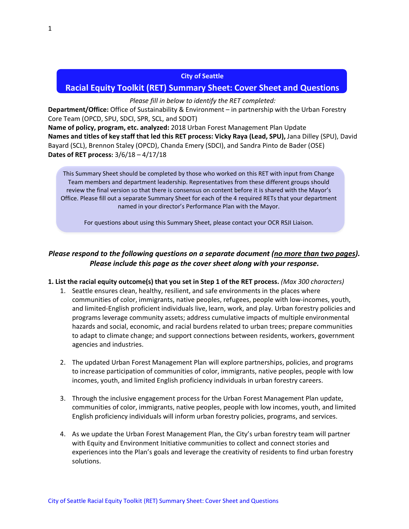#### **City of Seattle**

### **Racial Equity Toolkit (RET) Summary Sheet: Cover Sheet and Questions**

#### *Please fill in below to identify the RET completed:*

**Department/Office:** Office of Sustainability & Environment – in partnership with the Urban Forestry Core Team (OPCD, SPU, SDCI, SPR, SCL, and SDOT)

**Name of policy, program, etc. analyzed:** 2018 Urban Forest Management Plan Update **Names and titles of key staff that led this RET process: Vicky Raya (Lead, SPU),** Jana Dilley (SPU), David Bayard (SCL), Brennon Staley (OPCD), Chanda Emery (SDCI), and Sandra Pinto de Bader (OSE) **Dates of RET process:** 3/6/18 – 4/17/18

This Summary Sheet should be completed by those who worked on this RET with input from Change Team members and department leadership. Representatives from these different groups should review the final version so that there is consensus on content before it is shared with the Mayor's Office. Please fill out a separate Summary Sheet for each of the 4 required RETs that your department named in your director's Performance Plan with the Mayor.

For questions about using this Summary Sheet, please contact your OCR RSJI Liaison.

# *Please respond to the following questions on a separate document (no more than two pages). Please include this page as the cover sheet along with your response.*

#### **1. List the racial equity outcome(s) that you set in Step 1 of the RET process.** *(Max 300 characters)*

- 1. Seattle ensures clean, healthy, resilient, and safe environments in the places where communities of color, immigrants, native peoples, refugees, people with low-incomes, youth, and limited-English proficient individuals live, learn, work, and play. Urban forestry policies and programs leverage community assets; address cumulative impacts of multiple environmental hazards and social, economic, and racial burdens related to urban trees; prepare communities to adapt to climate change; and support connections between residents, workers, government agencies and industries.
- 2. The updated Urban Forest Management Plan will explore partnerships, policies, and programs to increase participation of communities of color, immigrants, native peoples, people with low incomes, youth, and limited English proficiency individuals in urban forestry careers.
- 3. Through the inclusive engagement process for the Urban Forest Management Plan update, communities of color, immigrants, native peoples, people with low incomes, youth, and limited English proficiency individuals will inform urban forestry policies, programs, and services.
- 4. As we update the Urban Forest Management Plan, the City's urban forestry team will partner with Equity and Environment Initiative communities to collect and connect stories and experiences into the Plan's goals and leverage the creativity of residents to find urban forestry solutions.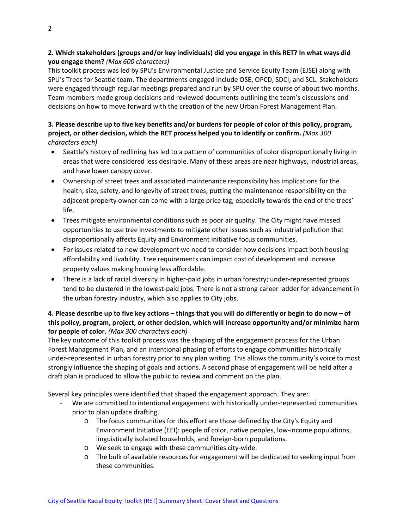## **2. Which stakeholders (groups and/or key individuals) did you engage in this RET? In what ways did you engage them?** *(Max 600 characters)*

This toolkit process was led by SPU's Environmental Justice and Service Equity Team (EJSE) along with SPU's Trees for Seattle team. The departments engaged include OSE, OPCD, SDCI, and SCL. Stakeholders were engaged through regular meetings prepared and run by SPU over the course of about two months. Team members made group decisions and reviewed documents outlining the team's discussions and decisions on how to move forward with the creation of the new Urban Forest Management Plan.

### **3. Please describe up to five key benefits and/or burdens for people of color of this policy, program, project, or other decision, which the RET process helped you to identify or confirm.** *(Max 300 characters each)*

- Seattle's history of redlining has led to a pattern of communities of color disproportionally living in areas that were considered less desirable. Many of these areas are near highways, industrial areas, and have lower canopy cover.
- Ownership of street trees and associated maintenance responsibility has implications for the health, size, safety, and longevity of street trees; putting the maintenance responsibility on the adjacent property owner can come with a large price tag, especially towards the end of the trees' life.
- Trees mitigate environmental conditions such as poor air quality. The City might have missed opportunities to use tree investments to mitigate other issues such as industrial pollution that disproportionally affects Equity and Environment Initiative focus communities.
- For issues related to new development we need to consider how decisions impact both housing affordability and livability. Tree requirements can impact cost of development and increase property values making housing less affordable.
- There is a lack of racial diversity in higher-paid jobs in urban forestry; under-represented groups tend to be clustered in the lowest-paid jobs. There is not a strong career ladder for advancement in the urban forestry industry, which also applies to City jobs.

## **4. Please describe up to five key actions – things that you will do differently or begin to do now – of this policy, program, project, or other decision, which will increase opportunity and/or minimize harm for people of color.** *(Max 300 characters each)*

The key outcome of this toolkit process was the shaping of the engagement process for the Urban Forest Management Plan, and an intentional phasing of efforts to engage communities historically under-represented in urban forestry prior to any plan writing. This allows the community's voice to most strongly influence the shaping of goals and actions. A second phase of engagement will be held after a draft plan is produced to allow the public to review and comment on the plan.

Several key principles were identified that shaped the engagement approach. They are:

- We are committed to intentional engagement with historically under-represented communities prior to plan update drafting.
	- o The focus communities for this effort are those defined by the City's Equity and Environment Initiative (EEI): people of color, native peoples, low-income populations, linguistically isolated households, and foreign-born populations.
	- o We seek to engage with these communities city-wide.
	- o The bulk of available resources for engagement will be dedicated to seeking input from these communities.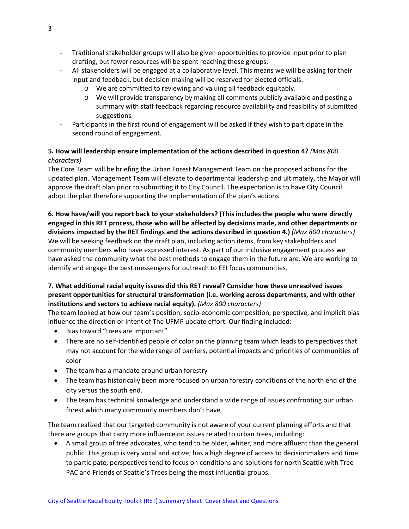- Traditional stakeholder groups will also be given opportunities to provide input prior to plan drafting, but fewer resources will be spent reaching those groups.
- All stakeholders will be engaged at a collaborative level. This means we will be asking for their input and feedback, but decision-making will be reserved for elected officials.
	- o We are committed to reviewing and valuing all feedback equitably.
	- o We will provide transparency by making all comments publicly available and posting a summary with staff feedback regarding resource availability and feasibility of submitted suggestions.
- Participants in the first round of engagement will be asked if they wish to participate in the second round of engagement.

### **5. How will leadership ensure implementation of the actions described in question 4?** *(Max 800 characters)*

The Core Team will be briefing the Urban Forest Management Team on the proposed actions for the updated plan. Management Team will elevate to departmental leadership and ultimately, the Mayor will approve the draft plan prior to submitting it to City Council. The expectation is to have City Council adopt the plan therefore supporting the implementation of the plan's actions.

**6. How have/will you report back to your stakeholders? (This includes the people who were directly engaged in this RET process, those who will be affected by decisions made, and other departments or divisions impacted by the RET findings and the actions described in question 4.)** *(Max 800 characters)* We will be seeking feedback on the draft plan, including action items, from key stakeholders and community members who have expressed interest. As part of our inclusive engagement process we have asked the community what the best methods to engage them in the future are. We are working to identify and engage the best messengers for outreach to EEI focus communities.

## **7. What additional racial equity issues did this RET reveal? Consider how these unresolved issues present opportunities for structural transformation (i.e. working across departments, and with other institutions and sectors to achieve racial equity).** *(Max 800 characters)*

The team looked at how our team's position, socio-economic composition, perspective, and implicit bias influence the direction or intent of The UFMP update effort. Our finding included:

- Bias toward "trees are important"
- There are no self-identified people of color on the planning team which leads to perspectives that may not account for the wide range of barriers, potential impacts and priorities of communities of color
- The team has a mandate around urban forestry
- The team has historically been more focused on urban forestry conditions of the north end of the city versus the south end.
- The team has technical knowledge and understand a wide range of issues confronting our urban forest which many community members don't have.

The team realized that our targeted community is not aware of your current planning efforts and that there are groups that carry more influence on issues related to urban trees, including:

• A small group of tree advocates, who tend to be older, whiter, and more affluent than the general public. This group is very vocal and active; has a high degree of access to decisionmakers and time to participate; perspectives tend to focus on conditions and solutions for north Seattle with Tree PAC and Friends of Seattle's Trees being the most influential groups.